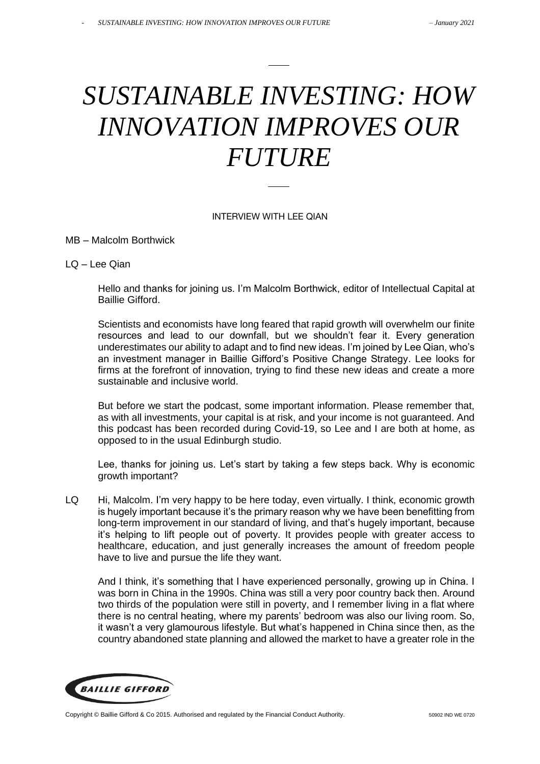# *SUSTAINABLE INVESTING: HOW INNOVATION IMPROVES OUR FUTURE*

#### INTERVIEW WITH LEE QIAN

MB – Malcolm Borthwick

LQ – Lee Qian

Hello and thanks for joining us. I'm Malcolm Borthwick, editor of Intellectual Capital at Baillie Gifford.

Scientists and economists have long feared that rapid growth will overwhelm our finite resources and lead to our downfall, but we shouldn't fear it. Every generation underestimates our ability to adapt and to find new ideas. I'm joined by Lee Qian, who's an investment manager in Baillie Gifford's Positive Change Strategy. Lee looks for firms at the forefront of innovation, trying to find these new ideas and create a more sustainable and inclusive world.

But before we start the podcast, some important information. Please remember that, as with all investments, your capital is at risk, and your income is not guaranteed. And this podcast has been recorded during Covid-19, so Lee and I are both at home, as opposed to in the usual Edinburgh studio.

Lee, thanks for joining us. Let's start by taking a few steps back. Why is economic growth important?

LQ Hi, Malcolm. I'm very happy to be here today, even virtually. I think, economic growth is hugely important because it's the primary reason why we have been benefitting from long-term improvement in our standard of living, and that's hugely important, because it's helping to lift people out of poverty. It provides people with greater access to healthcare, education, and just generally increases the amount of freedom people have to live and pursue the life they want.

And I think, it's something that I have experienced personally, growing up in China. I was born in China in the 1990s. China was still a very poor country back then. Around two thirds of the population were still in poverty, and I remember living in a flat where there is no central heating, where my parents' bedroom was also our living room. So, it wasn't a very glamourous lifestyle. But what's happened in China since then, as the country abandoned state planning and allowed the market to have a greater role in the

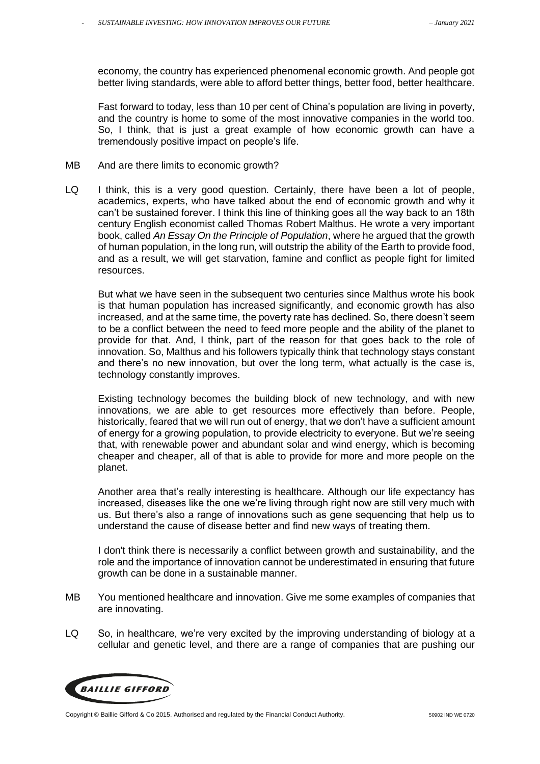economy, the country has experienced phenomenal economic growth. And people got better living standards, were able to afford better things, better food, better healthcare.

Fast forward to today, less than 10 per cent of China's population are living in poverty, and the country is home to some of the most innovative companies in the world too. So, I think, that is just a great example of how economic growth can have a tremendously positive impact on people's life.

- MB And are there limits to economic growth?
- LQ I think, this is a very good question. Certainly, there have been a lot of people, academics, experts, who have talked about the end of economic growth and why it can't be sustained forever. I think this line of thinking goes all the way back to an 18th century English economist called Thomas Robert Malthus. He wrote a very important book, called *An Essay On the Principle of Population*, where he argued that the growth of human population, in the long run, will outstrip the ability of the Earth to provide food, and as a result, we will get starvation, famine and conflict as people fight for limited resources.

But what we have seen in the subsequent two centuries since Malthus wrote his book is that human population has increased significantly, and economic growth has also increased, and at the same time, the poverty rate has declined. So, there doesn't seem to be a conflict between the need to feed more people and the ability of the planet to provide for that. And, I think, part of the reason for that goes back to the role of innovation. So, Malthus and his followers typically think that technology stays constant and there's no new innovation, but over the long term, what actually is the case is, technology constantly improves.

Existing technology becomes the building block of new technology, and with new innovations, we are able to get resources more effectively than before. People, historically, feared that we will run out of energy, that we don't have a sufficient amount of energy for a growing population, to provide electricity to everyone. But we're seeing that, with renewable power and abundant solar and wind energy, which is becoming cheaper and cheaper, all of that is able to provide for more and more people on the planet.

Another area that's really interesting is healthcare. Although our life expectancy has increased, diseases like the one we're living through right now are still very much with us. But there's also a range of innovations such as gene sequencing that help us to understand the cause of disease better and find new ways of treating them.

I don't think there is necessarily a conflict between growth and sustainability, and the role and the importance of innovation cannot be underestimated in ensuring that future growth can be done in a sustainable manner.

- MB You mentioned healthcare and innovation. Give me some examples of companies that are innovating.
- LQ So, in healthcare, we're very excited by the improving understanding of biology at a cellular and genetic level, and there are a range of companies that are pushing our

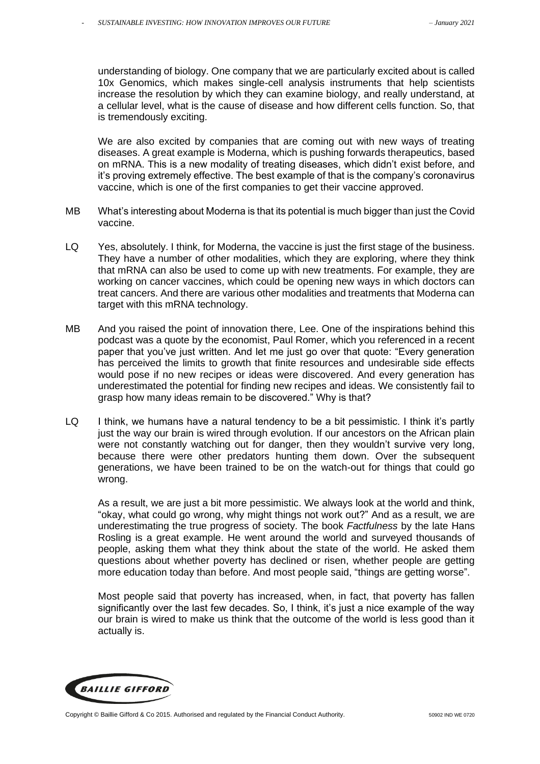understanding of biology. One company that we are particularly excited about is called 10x Genomics, which makes single-cell analysis instruments that help scientists increase the resolution by which they can examine biology, and really understand, at a cellular level, what is the cause of disease and how different cells function. So, that is tremendously exciting.

We are also excited by companies that are coming out with new ways of treating diseases. A great example is Moderna, which is pushing forwards therapeutics, based on mRNA. This is a new modality of treating diseases, which didn't exist before, and it's proving extremely effective. The best example of that is the company's coronavirus vaccine, which is one of the first companies to get their vaccine approved.

- MB What's interesting about Moderna is that its potential is much bigger than just the Covid vaccine.
- LQ Yes, absolutely. I think, for Moderna, the vaccine is just the first stage of the business. They have a number of other modalities, which they are exploring, where they think that mRNA can also be used to come up with new treatments. For example, they are working on cancer vaccines, which could be opening new ways in which doctors can treat cancers. And there are various other modalities and treatments that Moderna can target with this mRNA technology.
- MB And you raised the point of innovation there, Lee. One of the inspirations behind this podcast was a quote by the economist, Paul Romer, which you referenced in a recent paper that you've just written. And let me just go over that quote: "Every generation has perceived the limits to growth that finite resources and undesirable side effects would pose if no new recipes or ideas were discovered. And every generation has underestimated the potential for finding new recipes and ideas. We consistently fail to grasp how many ideas remain to be discovered." Why is that?
- LQ I think, we humans have a natural tendency to be a bit pessimistic. I think it's partly just the way our brain is wired through evolution. If our ancestors on the African plain were not constantly watching out for danger, then they wouldn't survive very long, because there were other predators hunting them down. Over the subsequent generations, we have been trained to be on the watch-out for things that could go wrong.

As a result, we are just a bit more pessimistic. We always look at the world and think, "okay, what could go wrong, why might things not work out?" And as a result, we are underestimating the true progress of society. The book *Factfulness* by the late Hans Rosling is a great example. He went around the world and surveyed thousands of people, asking them what they think about the state of the world. He asked them questions about whether poverty has declined or risen, whether people are getting more education today than before. And most people said, "things are getting worse".

Most people said that poverty has increased, when, in fact, that poverty has fallen significantly over the last few decades. So, I think, it's just a nice example of the way our brain is wired to make us think that the outcome of the world is less good than it actually is.

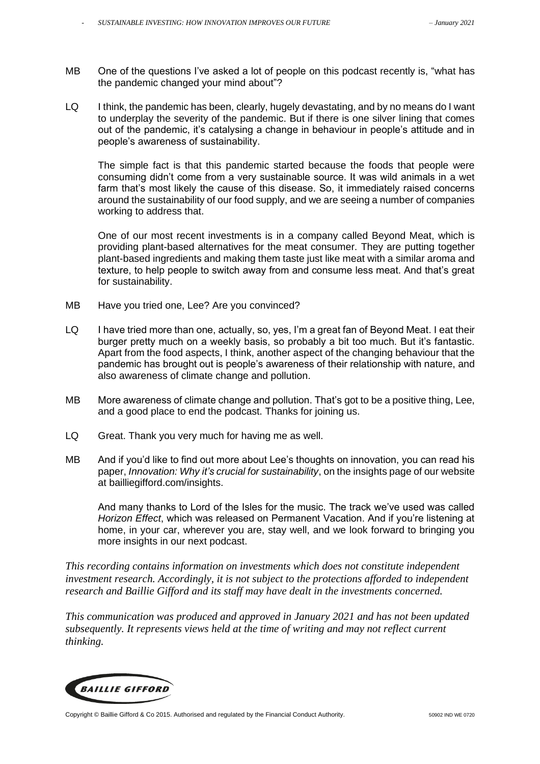- MB One of the questions I've asked a lot of people on this podcast recently is, "what has the pandemic changed your mind about"?
- LQ I think, the pandemic has been, clearly, hugely devastating, and by no means do I want to underplay the severity of the pandemic. But if there is one silver lining that comes out of the pandemic, it's catalysing a change in behaviour in people's attitude and in people's awareness of sustainability.

The simple fact is that this pandemic started because the foods that people were consuming didn't come from a very sustainable source. It was wild animals in a wet farm that's most likely the cause of this disease. So, it immediately raised concerns around the sustainability of our food supply, and we are seeing a number of companies working to address that.

One of our most recent investments is in a company called Beyond Meat, which is providing plant-based alternatives for the meat consumer. They are putting together plant-based ingredients and making them taste just like meat with a similar aroma and texture, to help people to switch away from and consume less meat. And that's great for sustainability.

- MB Have you tried one, Lee? Are you convinced?
- LQ I have tried more than one, actually, so, yes, I'm a great fan of Beyond Meat. I eat their burger pretty much on a weekly basis, so probably a bit too much. But it's fantastic. Apart from the food aspects, I think, another aspect of the changing behaviour that the pandemic has brought out is people's awareness of their relationship with nature, and also awareness of climate change and pollution.
- MB More awareness of climate change and pollution. That's got to be a positive thing, Lee, and a good place to end the podcast. Thanks for joining us.
- LQ Great. Thank you very much for having me as well.
- MB And if you'd like to find out more about Lee's thoughts on innovation, you can read his paper, *Innovation: Why it's crucial for sustainability*, on the insights page of our website at bailliegifford.com/insights.

And many thanks to Lord of the Isles for the music. The track we've used was called *Horizon Effect*, which was released on Permanent Vacation. And if you're listening at home, in your car, wherever you are, stay well, and we look forward to bringing you more insights in our next podcast.

*This recording contains information on investments which does not constitute independent investment research. Accordingly, it is not subject to the protections afforded to independent research and Baillie Gifford and its staff may have dealt in the investments concerned.* 

*This communication was produced and approved in January 2021 and has not been updated subsequently. It represents views held at the time of writing and may not reflect current thinking.*

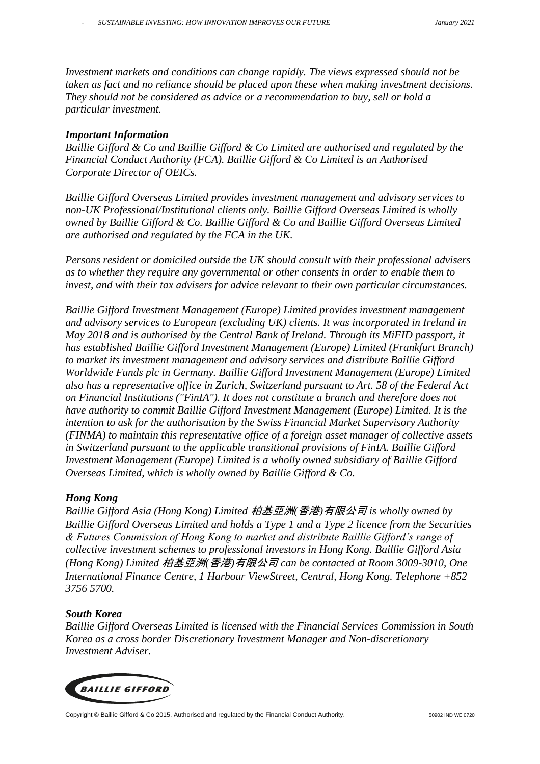*Investment markets and conditions can change rapidly. The views expressed should not be taken as fact and no reliance should be placed upon these when making investment decisions. They should not be considered as advice or a recommendation to buy, sell or hold a particular investment.*

### *Important Information*

*Baillie Gifford & Co and Baillie Gifford & Co Limited are authorised and regulated by the Financial Conduct Authority (FCA). Baillie Gifford & Co Limited is an Authorised Corporate Director of OEICs.*

*Baillie Gifford Overseas Limited provides investment management and advisory services to non-UK Professional/Institutional clients only. Baillie Gifford Overseas Limited is wholly owned by Baillie Gifford & Co. Baillie Gifford & Co and Baillie Gifford Overseas Limited are authorised and regulated by the FCA in the UK.*

*Persons resident or domiciled outside the UK should consult with their professional advisers as to whether they require any governmental or other consents in order to enable them to invest, and with their tax advisers for advice relevant to their own particular circumstances.*

*Baillie Gifford Investment Management (Europe) Limited provides investment management and advisory services to European (excluding UK) clients. It was incorporated in Ireland in May 2018 and is authorised by the Central Bank of Ireland. Through its MiFID passport, it has established Baillie Gifford Investment Management (Europe) Limited (Frankfurt Branch) to market its investment management and advisory services and distribute Baillie Gifford Worldwide Funds plc in Germany. Baillie Gifford Investment Management (Europe) Limited also has a representative office in Zurich, Switzerland pursuant to Art. 58 of the Federal Act on Financial Institutions ("FinIA"). It does not constitute a branch and therefore does not have authority to commit Baillie Gifford Investment Management (Europe) Limited. It is the intention to ask for the authorisation by the Swiss Financial Market Supervisory Authority (FINMA) to maintain this representative office of a foreign asset manager of collective assets in Switzerland pursuant to the applicable transitional provisions of FinIA. Baillie Gifford Investment Management (Europe) Limited is a wholly owned subsidiary of Baillie Gifford Overseas Limited, which is wholly owned by Baillie Gifford & Co.*

#### *Hong Kong*

*Baillie Gifford Asia (Hong Kong) Limited* 柏基亞洲*(*香港*)*有限公司 *is wholly owned by Baillie Gifford Overseas Limited and holds a Type 1 and a Type 2 licence from the Securities & Futures Commission of Hong Kong to market and distribute Baillie Gifford's range of collective investment schemes to professional investors in Hong Kong. Baillie Gifford Asia (Hong Kong) Limited* 柏基亞洲*(*香港*)*有限公司 *can be contacted at Room 3009-3010, One International Finance Centre, 1 Harbour ViewStreet, Central, Hong Kong. Telephone +852 3756 5700.*

#### *South Korea*

*Baillie Gifford Overseas Limited is licensed with the Financial Services Commission in South Korea as a cross border Discretionary Investment Manager and Non-discretionary Investment Adviser.*



Copyright © Baillie Gifford & Co 2015. Authorised and regulated by the Financial Conduct Authority. 50902 IND WE 0720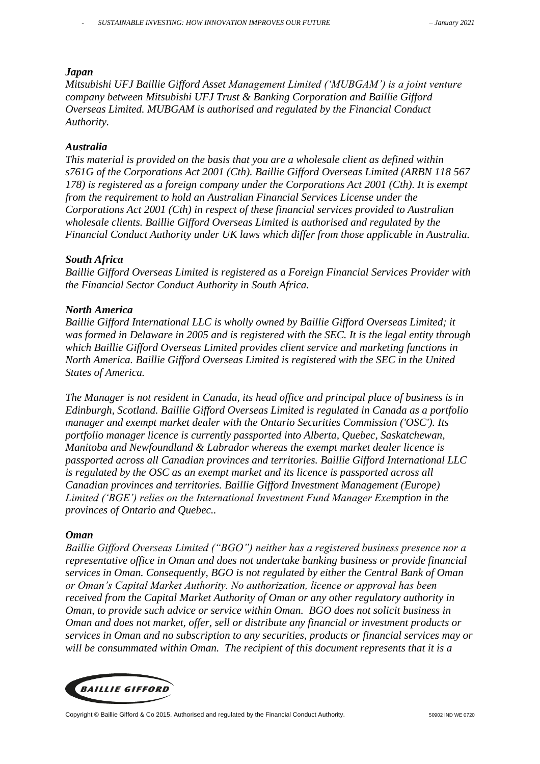#### *Japan*

*Mitsubishi UFJ Baillie Gifford Asset Management Limited ('MUBGAM') is a joint venture company between Mitsubishi UFJ Trust & Banking Corporation and Baillie Gifford Overseas Limited. MUBGAM is authorised and regulated by the Financial Conduct Authority.*

#### *Australia*

*This material is provided on the basis that you are a wholesale client as defined within s761G of the Corporations Act 2001 (Cth). Baillie Gifford Overseas Limited (ARBN 118 567 178) is registered as a foreign company under the Corporations Act 2001 (Cth). It is exempt from the requirement to hold an Australian Financial Services License under the Corporations Act 2001 (Cth) in respect of these financial services provided to Australian wholesale clients. Baillie Gifford Overseas Limited is authorised and regulated by the Financial Conduct Authority under UK laws which differ from those applicable in Australia.*

#### *South Africa*

*Baillie Gifford Overseas Limited is registered as a Foreign Financial Services Provider with the Financial Sector Conduct Authority in South Africa.* 

#### *North America*

*Baillie Gifford International LLC is wholly owned by Baillie Gifford Overseas Limited; it was formed in Delaware in 2005 and is registered with the SEC. It is the legal entity through which Baillie Gifford Overseas Limited provides client service and marketing functions in North America. Baillie Gifford Overseas Limited is registered with the SEC in the United States of America.*

*The Manager is not resident in Canada, its head office and principal place of business is in Edinburgh, Scotland. Baillie Gifford Overseas Limited is regulated in Canada as a portfolio manager and exempt market dealer with the Ontario Securities Commission ('OSC'). Its portfolio manager licence is currently passported into Alberta, Quebec, Saskatchewan, Manitoba and Newfoundland & Labrador whereas the exempt market dealer licence is passported across all Canadian provinces and territories. Baillie Gifford International LLC is regulated by the OSC as an exempt market and its licence is passported across all Canadian provinces and territories. Baillie Gifford Investment Management (Europe) Limited ('BGE') relies on the International Investment Fund Manager Exemption in the provinces of Ontario and Quebec..*

#### *Oman*

*Baillie Gifford Overseas Limited ("BGO") neither has a registered business presence nor a representative office in Oman and does not undertake banking business or provide financial services in Oman. Consequently, BGO is not regulated by either the Central Bank of Oman or Oman's Capital Market Authority. No authorization, licence or approval has been received from the Capital Market Authority of Oman or any other regulatory authority in Oman, to provide such advice or service within Oman. BGO does not solicit business in Oman and does not market, offer, sell or distribute any financial or investment products or services in Oman and no subscription to any securities, products or financial services may or will be consummated within Oman. The recipient of this document represents that it is a*